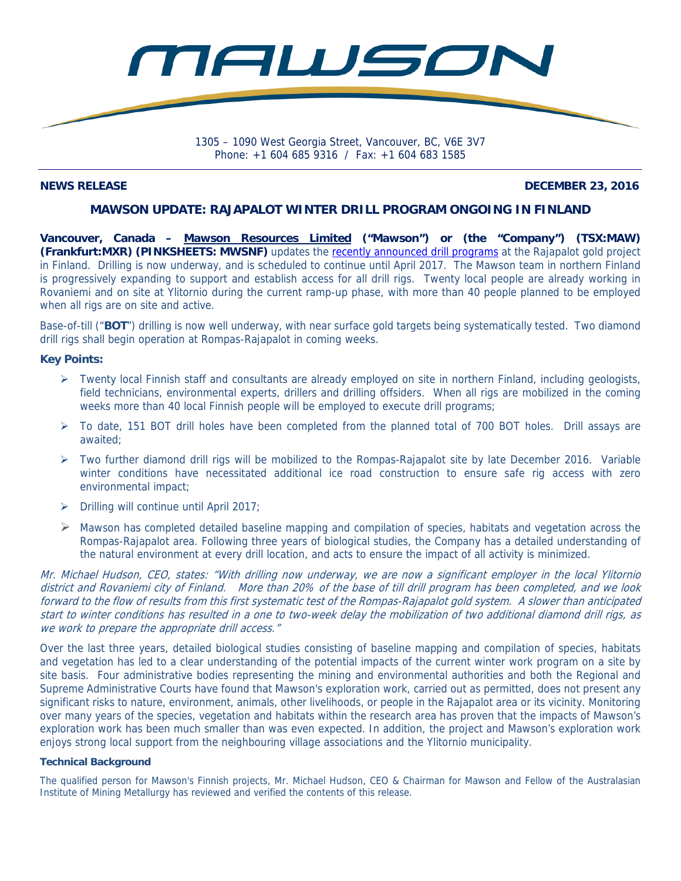

Phone: +1 604 685 9316 / Fax: +1 604 683 1585

### **NEWS RELEASE DECEMBER 23, 2016**

## **MAWSON UPDATE: RAJAPALOT WINTER DRILL PROGRAM ONGOING IN FINLAND**

**Vancouver, Canada – Mawson Resources Limited ("Mawson") or (the "Company") (TSX:MAW) (Frankfurt:MXR) (PINKSHEETS: MWSNF)** updates the recently announced drill programs at the Rajapalot gold project in Finland. Drilling is now underway, and is scheduled to continue until April 2017. The Mawson team in northern Finland is progressively expanding to support and establish access for all drill rigs. Twenty local people are already working in Rovaniemi and on site at Ylitornio during the current ramp-up phase, with more than 40 people planned to be employed when all rigs are on site and active.

Base-of-till ("**BOT**") drilling is now well underway, with near surface gold targets being systematically tested. Two diamond drill rigs shall begin operation at Rompas-Rajapalot in coming weeks.

### **Key Points:**

- $\triangleright$  Twenty local Finnish staff and consultants are already employed on site in northern Finland, including geologists, field technicians, environmental experts, drillers and drilling offsiders. When all rigs are mobilized in the coming weeks more than 40 local Finnish people will be employed to execute drill programs;
- $\triangleright$  To date, 151 BOT drill holes have been completed from the planned total of 700 BOT holes. Drill assays are awaited;
- $\triangleright$  Two further diamond drill rigs will be mobilized to the Rompas-Rajapalot site by late December 2016. Variable winter conditions have necessitated additional ice road construction to ensure safe rig access with zero environmental impact;
- $\triangleright$  Drilling will continue until April 2017;
- $\triangleright$  Mawson has completed detailed baseline mapping and compilation of species, habitats and vegetation across the Rompas-Rajapalot area. Following three years of biological studies, the Company has a detailed understanding of the natural environment at every drill location, and acts to ensure the impact of all activity is minimized.

Mr. Michael Hudson, CEO, states: "With drilling now underway, we are now a significant employer in the local Ylitornio district and Rovaniemi city of Finland. More than 20% of the base of till drill program has been completed, and we look forward to the flow of results from this first systematic test of the Rompas-Rajapalot gold system. A slower than anticipated start to winter conditions has resulted in a one to two-week delay the mobilization of two additional diamond drill rigs, as we work to prepare the appropriate drill access."

Over the last three years, detailed biological studies consisting of baseline mapping and compilation of species, habitats and vegetation has led to a clear understanding of the potential impacts of the current winter work program on a site by site basis. Four administrative bodies representing the mining and environmental authorities and both the Regional and Supreme Administrative Courts have found that Mawson's exploration work, carried out as permitted, does not present any significant risks to nature, environment, animals, other livelihoods, or people in the Rajapalot area or its vicinity. Monitoring over many years of the species, vegetation and habitats within the research area has proven that the impacts of Mawson's exploration work has been much smaller than was even expected. In addition, the project and Mawson's exploration work enjoys strong local support from the neighbouring village associations and the Ylitornio municipality.

#### **Technical Background**

The qualified person for Mawson's Finnish projects, Mr. Michael Hudson, CEO & Chairman for Mawson and Fellow of the Australasian Institute of Mining Metallurgy has reviewed and verified the contents of this release.